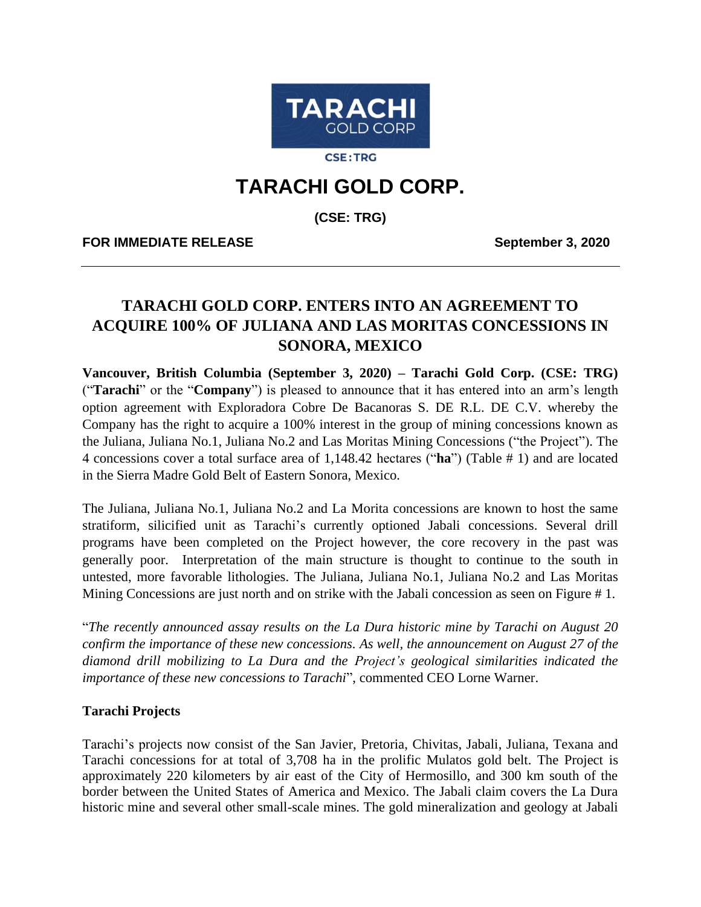

**CSE:TRG** 

# **TARACHI GOLD CORP.**

**(CSE: TRG)**

**FOR IMMEDIATE RELEASE September 3, 2020**

# **TARACHI GOLD CORP. ENTERS INTO AN AGREEMENT TO ACQUIRE 100% OF JULIANA AND LAS MORITAS CONCESSIONS IN SONORA, MEXICO**

**Vancouver, British Columbia (September 3, 2020) – Tarachi Gold Corp. (CSE: TRG)** ("**Tarachi**" or the "**Company**") is pleased to announce that it has entered into an arm's length option agreement with Exploradora Cobre De Bacanoras S. DE R.L. DE C.V. whereby the Company has the right to acquire a 100% interest in the group of mining concessions known as the Juliana, Juliana No.1, Juliana No.2 and Las Moritas Mining Concessions ("the Project"). The 4 concessions cover a total surface area of 1,148.42 hectares ("**ha**") (Table # 1) and are located in the Sierra Madre Gold Belt of Eastern Sonora, Mexico.

The Juliana, Juliana No.1, Juliana No.2 and La Morita concessions are known to host the same stratiform, silicified unit as Tarachi's currently optioned Jabali concessions. Several drill programs have been completed on the Project however, the core recovery in the past was generally poor. Interpretation of the main structure is thought to continue to the south in untested, more favorable lithologies. The Juliana, Juliana No.1, Juliana No.2 and Las Moritas Mining Concessions are just north and on strike with the Jabali concession as seen on Figure # 1.

"*The recently announced assay results on the La Dura historic mine by Tarachi on August 20 confirm the importance of these new concessions. As well, the announcement on August 27 of the diamond drill mobilizing to La Dura and the Project's geological similarities indicated the importance of these new concessions to Tarachi*", commented CEO Lorne Warner.

## **Tarachi Projects**

Tarachi's projects now consist of the San Javier, Pretoria, Chivitas, Jabali, Juliana, Texana and Tarachi concessions for at total of 3,708 ha in the prolific Mulatos gold belt. The Project is approximately 220 kilometers by air east of the City of Hermosillo, and 300 km south of the border between the United States of America and Mexico. The Jabali claim covers the La Dura historic mine and several other small-scale mines. The gold mineralization and geology at Jabali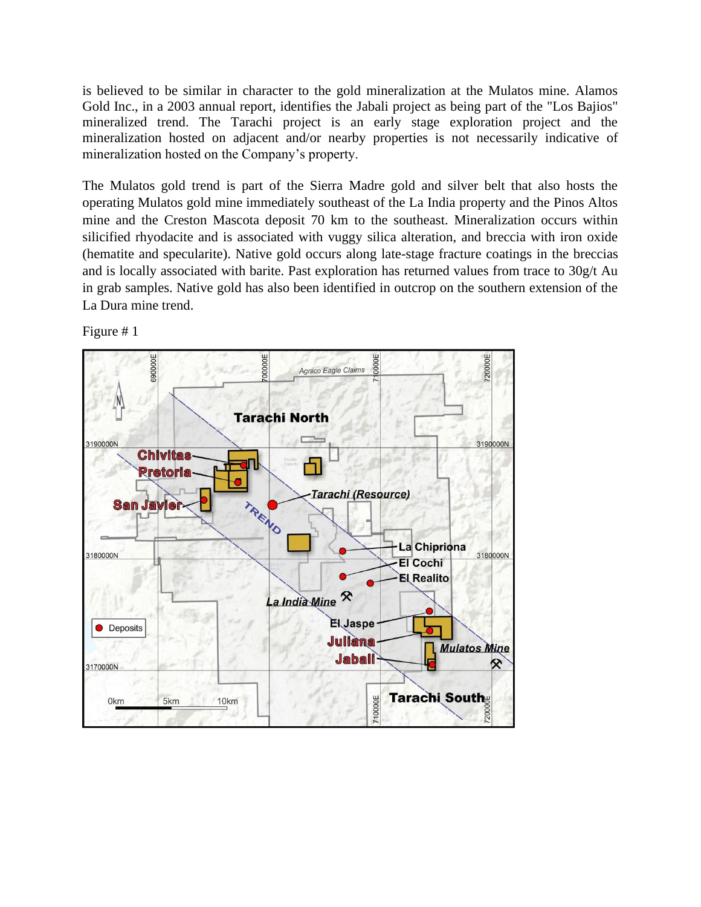is believed to be similar in character to the gold mineralization at the Mulatos mine. Alamos Gold Inc., in a 2003 annual report, identifies the Jabali project as being part of the "Los Bajios" mineralized trend. The Tarachi project is an early stage exploration project and the mineralization hosted on adjacent and/or nearby properties is not necessarily indicative of mineralization hosted on the Company's property.

The Mulatos gold trend is part of the Sierra Madre gold and silver belt that also hosts the operating Mulatos gold mine immediately southeast of the La India property and the Pinos Altos mine and the Creston Mascota deposit 70 km to the southeast. Mineralization occurs within silicified rhyodacite and is associated with vuggy silica alteration, and breccia with iron oxide (hematite and specularite). Native gold occurs along late-stage fracture coatings in the breccias and is locally associated with barite. Past exploration has returned values from trace to 30g/t Au in grab samples. Native gold has also been identified in outcrop on the southern extension of the La Dura mine trend.



Figure # 1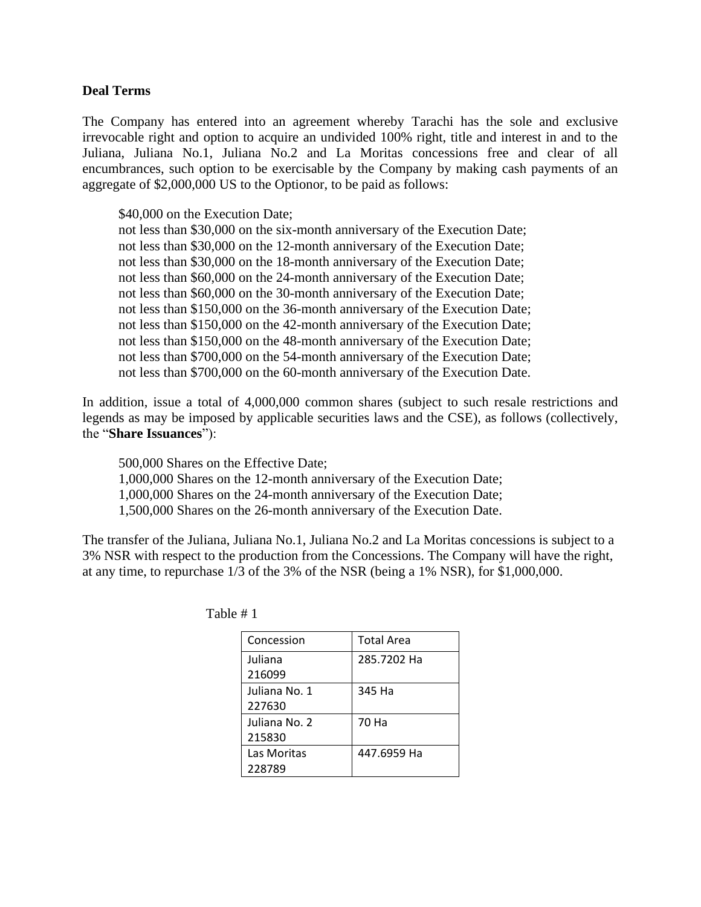#### **Deal Terms**

The Company has entered into an agreement whereby Tarachi has the sole and exclusive irrevocable right and option to acquire an undivided 100% right, title and interest in and to the Juliana, Juliana No.1, Juliana No.2 and La Moritas concessions free and clear of all encumbrances, such option to be exercisable by the Company by making cash payments of an aggregate of \$2,000,000 US to the Optionor, to be paid as follows:

\$40,000 on the Execution Date;

not less than \$30,000 on the six-month anniversary of the Execution Date; not less than \$30,000 on the 12-month anniversary of the Execution Date; not less than \$30,000 on the 18-month anniversary of the Execution Date; not less than \$60,000 on the 24-month anniversary of the Execution Date; not less than \$60,000 on the 30-month anniversary of the Execution Date; not less than \$150,000 on the 36-month anniversary of the Execution Date; not less than \$150,000 on the 42-month anniversary of the Execution Date; not less than \$150,000 on the 48-month anniversary of the Execution Date; not less than \$700,000 on the 54-month anniversary of the Execution Date; not less than \$700,000 on the 60-month anniversary of the Execution Date.

In addition, issue a total of 4,000,000 common shares (subject to such resale restrictions and legends as may be imposed by applicable securities laws and the CSE), as follows (collectively, the "**Share Issuances**"):

500,000 Shares on the Effective Date;

1,000,000 Shares on the 12-month anniversary of the Execution Date;

1,000,000 Shares on the 24-month anniversary of the Execution Date;

1,500,000 Shares on the 26-month anniversary of the Execution Date.

The transfer of the Juliana, Juliana No.1, Juliana No.2 and La Moritas concessions is subject to a 3% NSR with respect to the production from the Concessions. The Company will have the right, at any time, to repurchase 1/3 of the 3% of the NSR (being a 1% NSR), for \$1,000,000.

| Concession    | <b>Total Area</b> |
|---------------|-------------------|
| Juliana       | 285.7202 Ha       |
| 216099        |                   |
| Juliana No. 1 | 345 Ha            |
| 227630        |                   |
| Juliana No. 2 | 70 Ha             |
| 215830        |                   |
| Las Moritas   | 447.6959 Ha       |
| 228789        |                   |

Table # 1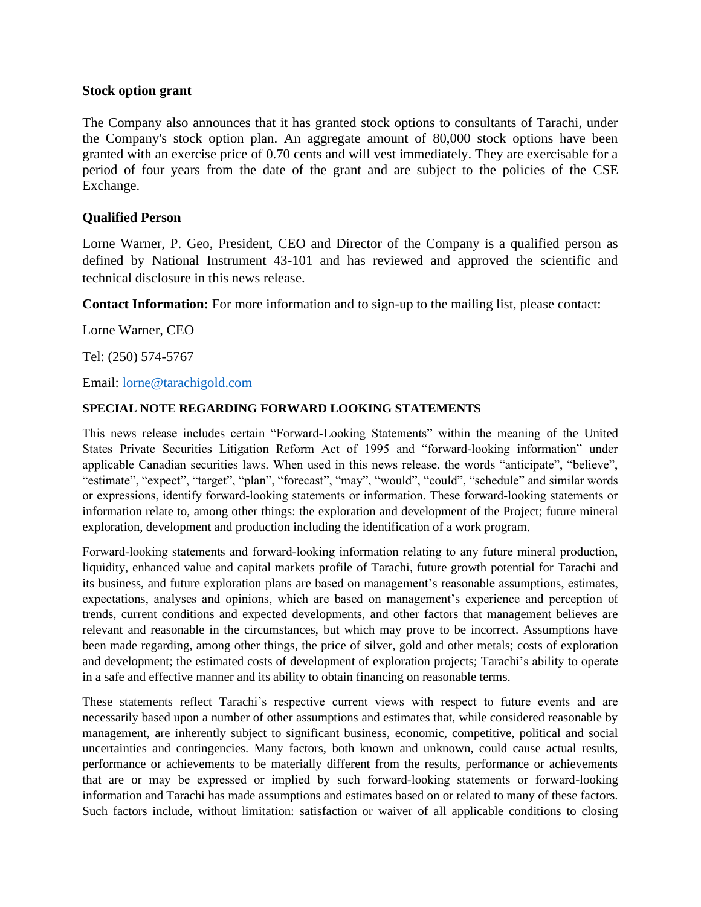#### **Stock option grant**

The Company also announces that it has granted stock options to consultants of Tarachi, under the Company's stock option plan. An aggregate amount of 80,000 stock options have been granted with an exercise price of 0.70 cents and will vest immediately. They are exercisable for a period of four years from the date of the grant and are subject to the policies of the CSE Exchange.

## **Qualified Person**

Lorne Warner, P. Geo, President, CEO and Director of the Company is a qualified person as defined by National Instrument 43-101 and has reviewed and approved the scientific and technical disclosure in this news release.

**Contact Information:** For more information and to sign-up to the mailing list, please contact:

Lorne Warner, CEO

Tel: (250) 574-5767

Email: [lorne@tarachigold.com](mailto:lorne@tarachigold.com)

#### **SPECIAL NOTE REGARDING FORWARD LOOKING STATEMENTS**

This news release includes certain "Forward‐Looking Statements" within the meaning of the United States Private Securities Litigation Reform Act of 1995 and "forward‐looking information" under applicable Canadian securities laws. When used in this news release, the words "anticipate", "believe", "estimate", "expect", "target", "plan", "forecast", "may", "would", "could", "schedule" and similar words or expressions, identify forward‐looking statements or information. These forward‐looking statements or information relate to, among other things: the exploration and development of the Project; future mineral exploration, development and production including the identification of a work program.

Forward‐looking statements and forward‐looking information relating to any future mineral production, liquidity, enhanced value and capital markets profile of Tarachi, future growth potential for Tarachi and its business, and future exploration plans are based on management's reasonable assumptions, estimates, expectations, analyses and opinions, which are based on management's experience and perception of trends, current conditions and expected developments, and other factors that management believes are relevant and reasonable in the circumstances, but which may prove to be incorrect. Assumptions have been made regarding, among other things, the price of silver, gold and other metals; costs of exploration and development; the estimated costs of development of exploration projects; Tarachi's ability to operate in a safe and effective manner and its ability to obtain financing on reasonable terms.

These statements reflect Tarachi's respective current views with respect to future events and are necessarily based upon a number of other assumptions and estimates that, while considered reasonable by management, are inherently subject to significant business, economic, competitive, political and social uncertainties and contingencies. Many factors, both known and unknown, could cause actual results, performance or achievements to be materially different from the results, performance or achievements that are or may be expressed or implied by such forward‐looking statements or forward-looking information and Tarachi has made assumptions and estimates based on or related to many of these factors. Such factors include, without limitation: satisfaction or waiver of all applicable conditions to closing